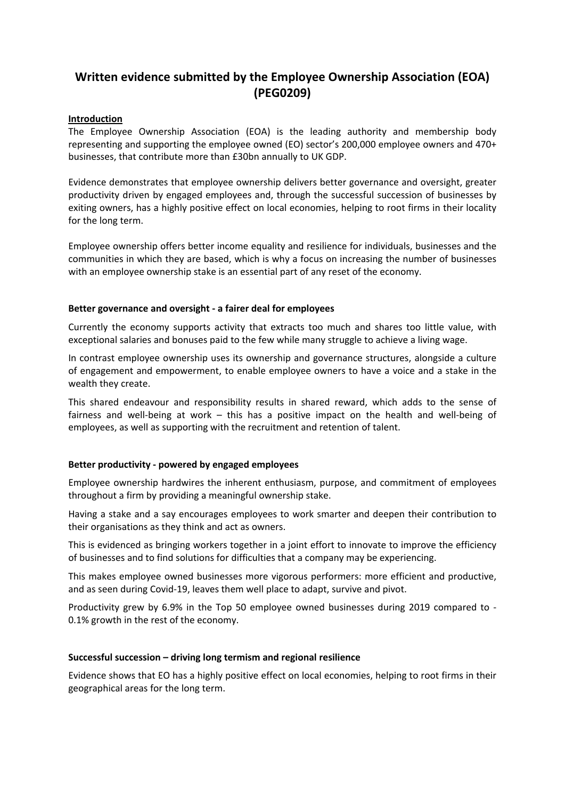# **Written evidence submitted by the Employee Ownership Association (EOA) (PEG0209)**

#### **Introduction**

The Employee Ownership Association (EOA) is the leading authority and membership body representing and supporting the employee owned (EO) sector's 200,000 employee owners and 470+ businesses, that contribute more than £30bn annually to UK GDP.

Evidence demonstrates that employee ownership delivers better governance and oversight, greater productivity driven by engaged employees and, through the successful succession of businesses by exiting owners, has a highly positive effect on local economies, helping to root firms in their locality for the long term.

Employee ownership offers better income equality and resilience for individuals, businesses and the communities in which they are based, which is why a focus on increasing the number of businesses with an employee ownership stake is an essential part of any reset of the economy.

#### **Better governance and oversight - a fairer deal for employees**

Currently the economy supports activity that extracts too much and shares too little value, with exceptional salaries and bonuses paid to the few while many struggle to achieve a living wage.

In contrast employee ownership uses its ownership and governance structures, alongside a culture of engagement and empowerment, to enable employee owners to have a voice and a stake in the wealth they create.

This shared endeavour and responsibility results in shared reward, which adds to the sense of fairness and well-being at work – this has a positive impact on the health and well-being of employees, as well as supporting with the recruitment and retention of talent.

#### **Better productivity - powered by engaged employees**

Employee ownership hardwires the inherent enthusiasm, purpose, and commitment of employees throughout a firm by providing a meaningful ownership stake.

Having a stake and a say encourages employees to work smarter and deepen their contribution to their organisations as they think and act as owners.

This is evidenced as bringing workers together in a joint effort to innovate to improve the efficiency of businesses and to find solutions for difficulties that a company may be experiencing.

This makes employee owned businesses more vigorous performers: more efficient and productive, and as seen during Covid-19, leaves them well place to adapt, survive and pivot.

Productivity grew by 6.9% in the Top 50 employee owned businesses during 2019 compared to - 0.1% growth in the rest of the economy.

#### **Successful succession – driving long termism and regional resilience**

Evidence shows that EO has a highly positive effect on local economies, helping to root firms in their geographical areas for the long term.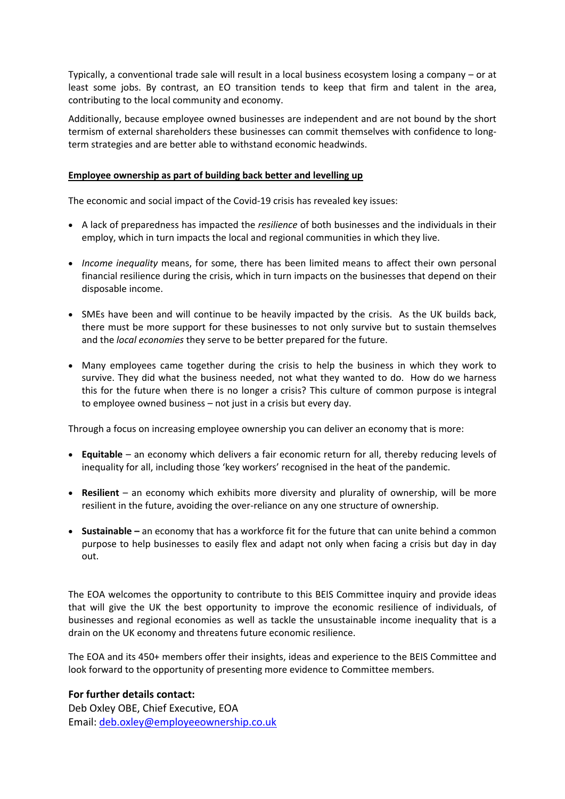Typically, a conventional trade sale will result in a local business ecosystem losing a company – or at least some jobs. By contrast, an EO transition tends to keep that firm and talent in the area, contributing to the local community and economy.

Additionally, because employee owned businesses are independent and are not bound by the short termism of external shareholders these businesses can commit themselves with confidence to longterm strategies and are better able to withstand economic headwinds.

#### **Employee ownership as part of building back better and levelling up**

The economic and social impact of the Covid-19 crisis has revealed key issues:

- A lack of preparedness has impacted the *resilience* of both businesses and the individuals in their employ, which in turn impacts the local and regional communities in which they live.
- *Income inequality* means, for some, there has been limited means to affect their own personal financial resilience during the crisis, which in turn impacts on the businesses that depend on their disposable income.
- SMEs have been and will continue to be heavily impacted by the crisis. As the UK builds back, there must be more support for these businesses to not only survive but to sustain themselves and the *local economies* they serve to be better prepared for the future.
- Many employees came together during the crisis to help the business in which they work to survive. They did what the business needed, not what they wanted to do. How do we harness this for the future when there is no longer a crisis? This culture of common purpose is integral to employee owned business – not just in a crisis but every day.

Through a focus on increasing employee ownership you can deliver an economy that is more:

- **Equitable** an economy which delivers a fair economic return for all, thereby reducing levels of inequality for all, including those 'key workers' recognised in the heat of the pandemic.
- **Resilient** an economy which exhibits more diversity and plurality of ownership, will be more resilient in the future, avoiding the over-reliance on any one structure of ownership.
- **Sustainable –** an economy that has a workforce fit for the future that can unite behind a common purpose to help businesses to easily flex and adapt not only when facing a crisis but day in day out.

The EOA welcomes the opportunity to contribute to this BEIS Committee inquiry and provide ideas that will give the UK the best opportunity to improve the economic resilience of individuals, of businesses and regional economies as well as tackle the unsustainable income inequality that is a drain on the UK economy and threatens future economic resilience.

The EOA and its 450+ members offer their insights, ideas and experience to the BEIS Committee and look forward to the opportunity of presenting more evidence to Committee members.

#### **For further details contact:**

Deb Oxley OBE, Chief Executive, EOA Email: [deb.oxley@employeeownership.co.uk](mailto:deb.oxley@employeeownership.co.uk)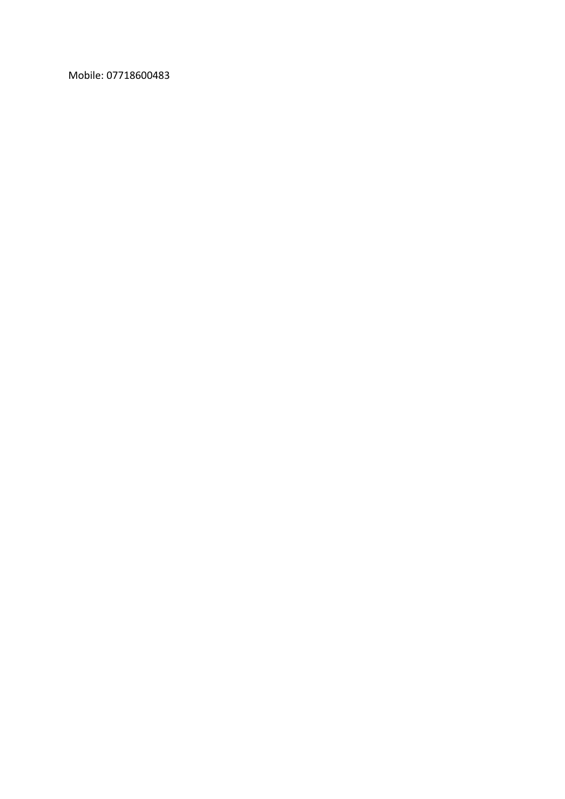Mobile: 07718600483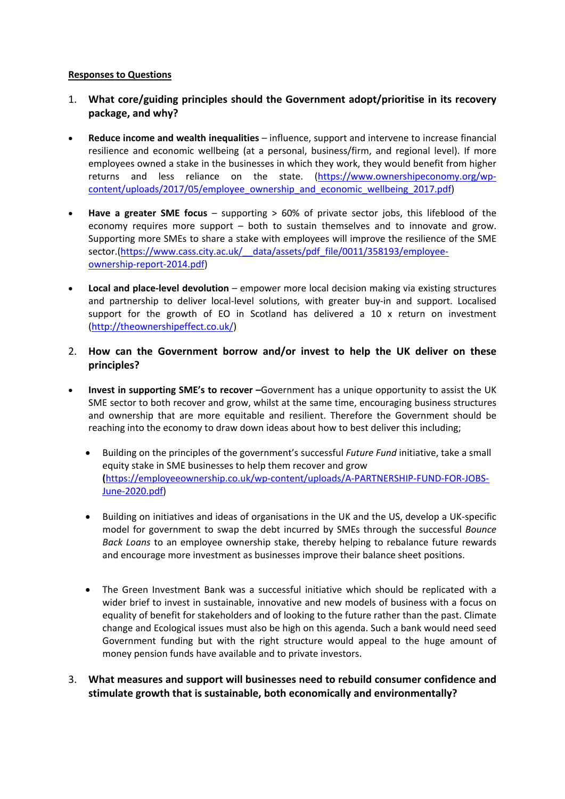#### **Responses to Questions**

- 1. **What core/guiding principles should the Government adopt/prioritise in its recovery package, and why?**
- **Reduce income and wealth inequalities** influence, support and intervene to increase financial resilience and economic wellbeing (at a personal, business/firm, and regional level). If more employees owned a stake in the businesses in which they work, they would benefit from higher returns and less reliance on the state. [\(https://www.ownershipeconomy.org/wp](https://www.ownershipeconomy.org/wp-content/uploads/2017/05/employee_ownership_and_economic_wellbeing_2017.pdf)[content/uploads/2017/05/employee\\_ownership\\_and\\_economic\\_wellbeing\\_2017.pdf\)](https://www.ownershipeconomy.org/wp-content/uploads/2017/05/employee_ownership_and_economic_wellbeing_2017.pdf)
- **Have a greater SME focus** supporting > 60% of private sector jobs, this lifeblood of the economy requires more support – both to sustain themselves and to innovate and grow. Supporting more SMEs to share a stake with employees will improve the resilience of the SME sector.(https://www.cass.city.ac.uk/ data/assets/pdf file/0011/358193/employee[ownership-report-2014.pdf\)](https://www.cass.city.ac.uk/__data/assets/pdf_file/0011/358193/employee-ownership-report-2014.pdf)
- **Local and place-level devolution** empower more local decision making via existing structures and partnership to deliver local-level solutions, with greater buy-in and support. Localised support for the growth of EO in Scotland has delivered a 10  $\times$  return on investment (<http://theownershipeffect.co.uk/>)
- 2. **How can the Government borrow and/or invest to help the UK deliver on these principles?**
- **Invest in supporting SME's to recover –**Government has a unique opportunity to assist the UK SME sector to both recover and grow, whilst at the same time, encouraging business structures and ownership that are more equitable and resilient. Therefore the Government should be reaching into the economy to draw down ideas about how to best deliver this including;
	- Building on the principles of the government's successful *Future Fund* initiative, take a small equity stake in SME businesses to help them recover and grow **(**[https://employeeownership.co.uk/wp-content/uploads/A-PARTNERSHIP-FUND-FOR-JOBS-](https://employeeownership.co.uk/wp-content/uploads/A-PARTNERSHIP-FUND-FOR-JOBS-June-2020.pdf)[June-2020.pdf\)](https://employeeownership.co.uk/wp-content/uploads/A-PARTNERSHIP-FUND-FOR-JOBS-June-2020.pdf)
	- Building on initiatives and ideas of organisations in the UK and the US, develop a UK-specific model for government to swap the debt incurred by SMEs through the successful *Bounce Back Loans* to an employee ownership stake, thereby helping to rebalance future rewards and encourage more investment as businesses improve their balance sheet positions.
	- The Green Investment Bank was a successful initiative which should be replicated with a wider brief to invest in sustainable, innovative and new models of business with a focus on equality of benefit for stakeholders and of looking to the future rather than the past. Climate change and Ecological issues must also be high on this agenda. Such a bank would need seed Government funding but with the right structure would appeal to the huge amount of money pension funds have available and to private investors.
- 3. **What measures and support will businesses need to rebuild consumer confidence and stimulate growth that is sustainable, both economically and environmentally?**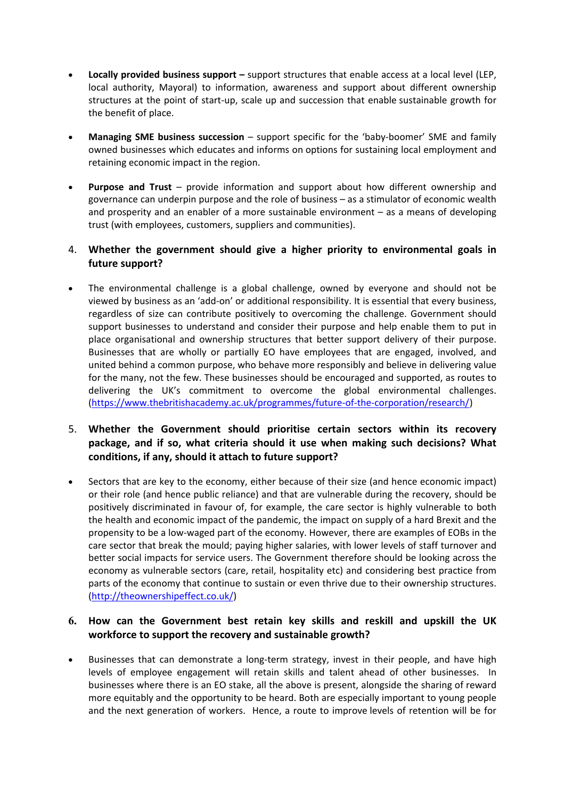- **Locally provided business support –** support structures that enable access at a local level (LEP, local authority, Mayoral) to information, awareness and support about different ownership structures at the point of start-up, scale up and succession that enable sustainable growth for the benefit of place.
- **Managing SME business succession** support specific for the 'baby-boomer' SME and family owned businesses which educates and informs on options for sustaining local employment and retaining economic impact in the region.
- **Purpose and Trust** provide information and support about how different ownership and governance can underpin purpose and the role of business – as a stimulator of economic wealth and prosperity and an enabler of a more sustainable environment – as a means of developing trust (with employees, customers, suppliers and communities).

# 4. **Whether the government should give a higher priority to environmental goals in future support?**

• The environmental challenge is a global challenge, owned by everyone and should not be viewed by business as an 'add-on' or additional responsibility. It is essential that every business, regardless of size can contribute positively to overcoming the challenge. Government should support businesses to understand and consider their purpose and help enable them to put in place organisational and ownership structures that better support delivery of their purpose. Businesses that are wholly or partially EO have employees that are engaged, involved, and united behind a common purpose, who behave more responsibly and believe in delivering value for the many, not the few. These businesses should be encouraged and supported, as routes to delivering the UK's commitment to overcome the global environmental challenges. (<https://www.thebritishacademy.ac.uk/programmes/future-of-the-corporation/research/>)

# 5. **Whether the Government should prioritise certain sectors within its recovery package, and if so, what criteria should it use when making such decisions? What conditions, if any, should it attach to future support?**

 Sectors that are key to the economy, either because of their size (and hence economic impact) or their role (and hence public reliance) and that are vulnerable during the recovery, should be positively discriminated in favour of, for example, the care sector is highly vulnerable to both the health and economic impact of the pandemic, the impact on supply of a hard Brexit and the propensity to be a low-waged part of the economy. However, there are examples of EOBs in the care sector that break the mould; paying higher salaries, with lower levels of staff turnover and better social impacts for service users. The Government therefore should be looking across the economy as vulnerable sectors (care, retail, hospitality etc) and considering best practice from parts of the economy that continue to sustain or even thrive due to their ownership structures. (<http://theownershipeffect.co.uk/>)

# **6. How can the Government best retain key skills and reskill and upskill the UK workforce to support the recovery and sustainable growth?**

 Businesses that can demonstrate a long-term strategy, invest in their people, and have high levels of employee engagement will retain skills and talent ahead of other businesses. In businesses where there is an EO stake, all the above is present, alongside the sharing of reward more equitably and the opportunity to be heard. Both are especially important to young people and the next generation of workers. Hence, a route to improve levels of retention will be for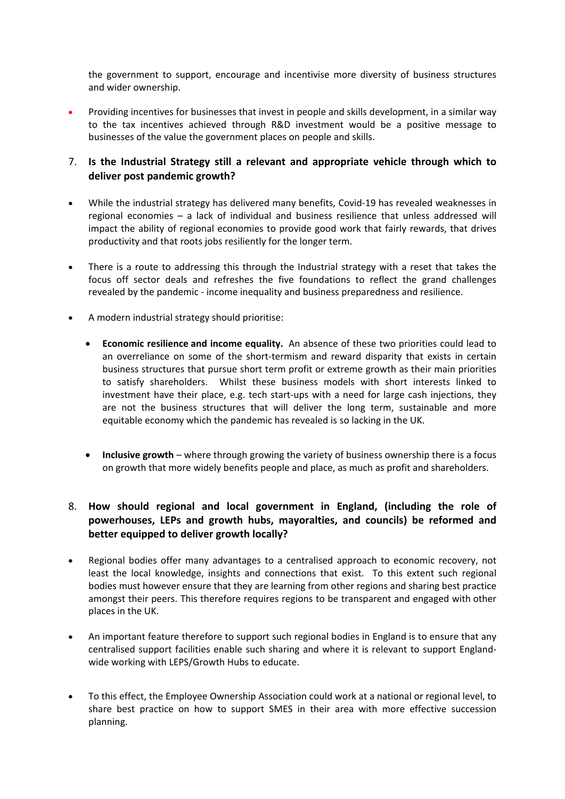the government to support, encourage and incentivise more diversity of business structures and wider ownership.

 Providing incentives for businesses that invest in people and skills development, in a similar way to the tax incentives achieved through R&D investment would be a positive message to businesses of the value the government places on people and skills.

#### 7. **Is the Industrial Strategy still a relevant and appropriate vehicle through which to deliver post pandemic growth?**

- While the industrial strategy has delivered many benefits, Covid-19 has revealed weaknesses in regional economies – a lack of individual and business resilience that unless addressed will impact the ability of regional economies to provide good work that fairly rewards, that drives productivity and that roots jobs resiliently for the longer term.
- There is a route to addressing this through the Industrial strategy with a reset that takes the focus off sector deals and refreshes the five foundations to reflect the grand challenges revealed by the pandemic - income inequality and business preparedness and resilience.
- A modern industrial strategy should prioritise:
	- **Economic resilience and income equality.** An absence of these two priorities could lead to an overreliance on some of the short-termism and reward disparity that exists in certain business structures that pursue short term profit or extreme growth as their main priorities to satisfy shareholders. Whilst these business models with short interests linked to investment have their place, e.g. tech start-ups with a need for large cash injections, they are not the business structures that will deliver the long term, sustainable and more equitable economy which the pandemic has revealed is so lacking in the UK.
	- **Inclusive growth** where through growing the variety of business ownership there is a focus on growth that more widely benefits people and place, as much as profit and shareholders.

# 8. **How should regional and local government in England, (including the role of powerhouses, LEPs and growth hubs, mayoralties, and councils) be reformed and better equipped to deliver growth locally?**

- Regional bodies offer many advantages to a centralised approach to economic recovery, not least the local knowledge, insights and connections that exist. To this extent such regional bodies must however ensure that they are learning from other regions and sharing best practice amongst their peers. This therefore requires regions to be transparent and engaged with other places in the UK.
- An important feature therefore to support such regional bodies in England is to ensure that any centralised support facilities enable such sharing and where it is relevant to support Englandwide working with LEPS/Growth Hubs to educate.
- To this effect, the Employee Ownership Association could work at a national or regional level, to share best practice on how to support SMES in their area with more effective succession planning.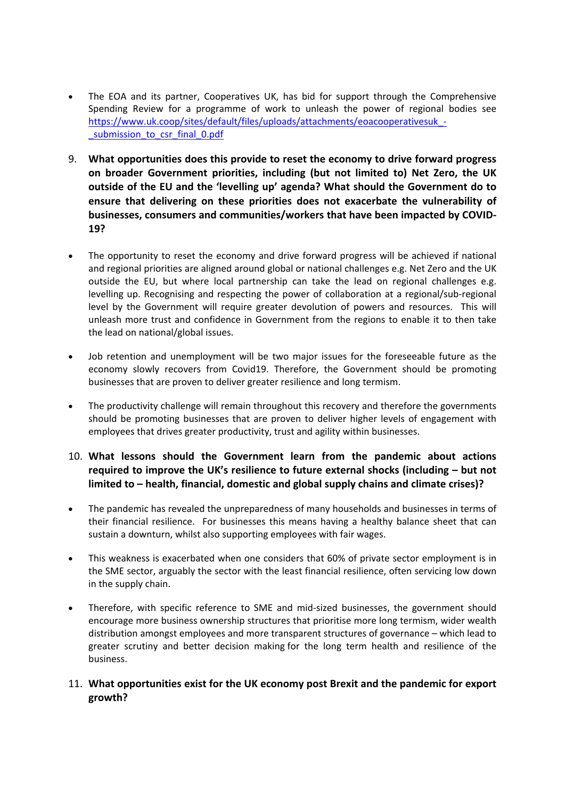- The EOA and its partner, Cooperatives UK, has bid for support through the Comprehensive Spending Review for a programme of work to unleash the power of regional bodies see [https://www.uk.coop/sites/default/files/uploads/attachments/eoacooperativesuk\\_-](https://www.uk.coop/sites/default/files/uploads/attachments/eoacooperativesuk_-_submission_to_csr_final_0.pdf) [\\_submission\\_to\\_csr\\_final\\_0.pdf](https://www.uk.coop/sites/default/files/uploads/attachments/eoacooperativesuk_-_submission_to_csr_final_0.pdf)
- 9. **What opportunities does this provide to reset the economy to drive forward progress on broader Government priorities, including (but not limited to) Net Zero, the UK outside of the EU and the 'levelling up' agenda? What should the Government do to ensure that delivering on these priorities does not exacerbate the vulnerability of businesses, consumers and communities/workers that have been impacted by COVID-19?**
- The opportunity to reset the economy and drive forward progress will be achieved if national and regional priorities are aligned around global or national challenges e.g. Net Zero and the UK outside the EU, but where local partnership can take the lead on regional challenges e.g. levelling up. Recognising and respecting the power of collaboration at a regional/sub-regional level by the Government will require greater devolution of powers and resources. This will unleash more trust and confidence in Government from the regions to enable it to then take the lead on national/global issues.
- Job retention and unemployment will be two major issues for the foreseeable future as the economy slowly recovers from Covid19. Therefore, the Government should be promoting businesses that are proven to deliver greater resilience and long termism.
- The productivity challenge will remain throughout this recovery and therefore the governments should be promoting businesses that are proven to deliver higher levels of engagement with employees that drives greater productivity, trust and agility within businesses.

# 10. **What lessons should the Government learn from the pandemic about actions required to improve the UK's resilience to future external shocks (including – but not limited to – health, financial, domestic and global supply chains and climate crises)?**

- The pandemic has revealed the unpreparedness of many households and businesses in terms of their financial resilience. For businesses this means having a healthy balance sheet that can sustain a downturn, whilst also supporting employees with fair wages.
- This weakness is exacerbated when one considers that 60% of private sector employment is in the SME sector, arguably the sector with the least financial resilience, often servicing low down in the supply chain.
- Therefore, with specific reference to SME and mid-sized businesses, the government should encourage more business ownership structures that prioritise more long termism, wider wealth distribution amongst employees and more transparent structures of governance – which lead to greater scrutiny and better decision making for the long term health and resilience of the business.

# 11. **What opportunities exist for the UK economy post Brexit and the pandemic for export growth?**